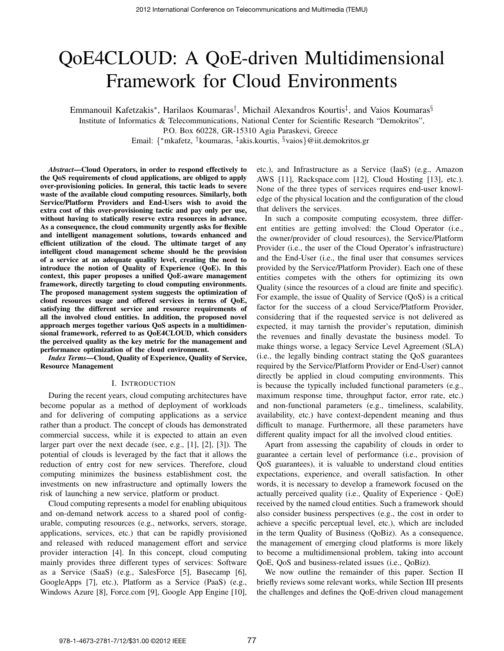# QoE4CLOUD: A QoE-driven Multidimensional Framework for Cloud Environments

Emmanouil Kafetzakis\*, Harilaos Koumaras<sup>†</sup>, Michail Alexandros Kourtis<sup>‡</sup>, and Vaios Koumaras<sup>§</sup> Institute of Informatics & Telecommunications, National Center for Scientific Research "Demokritos", P.O. Box 60228, GR-15310 Agia Paraskevi, Greece

Email: { <sup>∗</sup>mkafetz, †koumaras, ‡ akis.kourtis, §vaios}@iit.demokritos.gr

*Abstract*—Cloud Operators, in order to respond effectively to the QoS requirements of cloud applications, are obliged to apply over-provisioning policies. In general, this tactic leads to severe waste of the available cloud computing resources. Similarly, both Service/Platform Providers and End-Users wish to avoid the extra cost of this over-provisioning tactic and pay only per use, without having to statically reserve extra resources in advance. As a consequence, the cloud community urgently asks for flexible and intelligent management solutions, towards enhanced and efficient utilization of the cloud. The ultimate target of any intelligent cloud management scheme should be the provision of a service at an adequate quality level, creating the need to introduce the notion of Quality of Experience (QoE). In this context, this paper proposes a unified QoE-aware management framework, directly targeting to cloud computing environments. The proposed management system suggests the optimization of cloud resources usage and offered services in terms of QoE, satisfying the different service and resource requirements of all the involved cloud entities. In addition, the proposed novel approach merges together various QoS aspects in a multidimensional framework, referred to as QoE4CLOUD, which considers the perceived quality as the key metric for the management and performance optimization of the cloud environment.

*Index Terms*—Cloud, Quality of Experience, Quality of Service, Resource Management

#### I. INTRODUCTION

During the recent years, cloud computing architectures have become popular as a method of deployment of workloads and for delivering of computing applications as a service rather than a product. The concept of clouds has demonstrated commercial success, while it is expected to attain an even larger part over the next decade (see, e.g., [1], [2], [3]). The potential of clouds is leveraged by the fact that it allows the reduction of entry cost for new services. Therefore, cloud computing minimizes the business establishment cost, the investments on new infrastructure and optimally lowers the risk of launching a new service, platform or product.

Cloud computing represents a model for enabling ubiquitous and on-demand network access to a shared pool of configurable, computing resources (e.g., networks, servers, storage, applications, services, etc.) that can be rapidly provisioned and released with reduced management effort and service provider interaction [4]. In this concept, cloud computing mainly provides three different types of services: Software as a Service (SaaS) (e.g., SalesForce [5], Basecamp [6], GoogleApps [7], etc.), Platform as a Service (PaaS) (e.g., Windows Azure [8], Force.com [9], Google App Engine [10], etc.), and Infrastructure as a Service (IaaS) (e.g., Amazon AWS [11], Rackspace.com [12], Cloud Hosting [13], etc.). None of the three types of services requires end-user knowledge of the physical location and the configuration of the cloud that delivers the services.

In such a composite computing ecosystem, three different entities are getting involved: the Cloud Operator (i.e., the owner/provider of cloud resources), the Service/Platform Provider (i.e., the user of the Cloud Operator's infrastructure) and the End-User (i.e., the final user that consumes services provided by the Service/Platform Provider). Each one of these entities competes with the others for optimizing its own Quality (since the resources of a cloud are finite and specific). For example, the issue of Quality of Service (QoS) is a critical factor for the success of a cloud Service/Platform Provider, considering that if the requested service is not delivered as expected, it may tarnish the provider's reputation, diminish the revenues and finally devastate the business model. To make things worse, a legacy Service Level Agreement (SLA) (i.e., the legally binding contract stating the QoS guarantees required by the Service/Platform Provider or End-User) cannot directly be applied in cloud computing environments. This is because the typically included functional parameters (e.g., maximum response time, throughput factor, error rate, etc.) and non-functional parameters (e.g., timeliness, scalability, availability, etc.) have context-dependent meaning and thus difficult to manage. Furthermore, all these parameters have different quality impact for all the involved cloud entities.

Apart from assessing the capability of clouds in order to guarantee a certain level of performance (i.e., provision of QoS guarantees), it is valuable to understand cloud entities expectations, experience, and overall satisfaction. In other words, it is necessary to develop a framework focused on the actually perceived quality (i.e., Quality of Experience - QoE) received by the named cloud entities. Such a framework should also consider business perspectives (e.g., the cost in order to achieve a specific perceptual level, etc.), which are included in the term Quality of Business (QoBiz). As a consequence, the management of emerging cloud platforms is more likely to become a multidimensional problem, taking into account QoE, QoS and business-related issues (i.e., QoBiz).

We now outline the remainder of this paper. Section II briefly reviews some relevant works, while Section III presents the challenges and defines the QoE-driven cloud management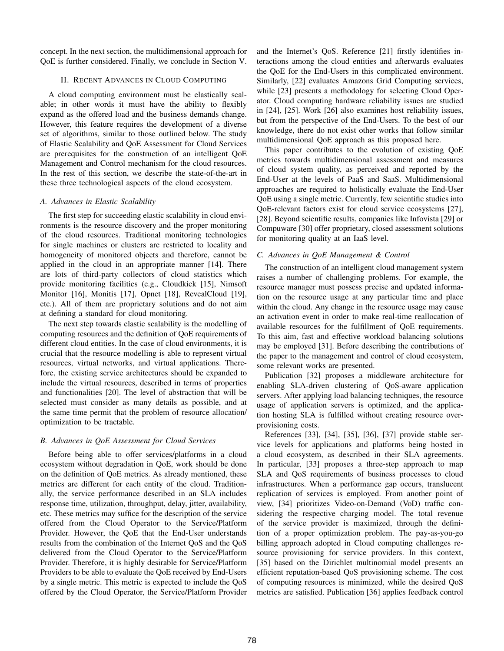concept. In the next section, the multidimensional approach for QoE is further considered. Finally, we conclude in Section V.

## II. RECENT ADVANCES IN CLOUD COMPUTING

A cloud computing environment must be elastically scalable; in other words it must have the ability to flexibly expand as the offered load and the business demands change. However, this feature requires the development of a diverse set of algorithms, similar to those outlined below. The study of Elastic Scalability and QoE Assessment for Cloud Services are prerequisites for the construction of an intelligent QoE Management and Control mechanism for the cloud resources. In the rest of this section, we describe the state-of-the-art in these three technological aspects of the cloud ecosystem.

### *A. Advances in Elastic Scalability*

The first step for succeeding elastic scalability in cloud environments is the resource discovery and the proper monitoring of the cloud resources. Traditional monitoring technologies for single machines or clusters are restricted to locality and homogeneity of monitored objects and therefore, cannot be applied in the cloud in an appropriate manner [14]. There are lots of third-party collectors of cloud statistics which provide monitoring facilities (e.g., Cloudkick [15], Nimsoft Monitor [16], Monitis [17], Opnet [18], RevealCloud [19], etc.). All of them are proprietary solutions and do not aim at defining a standard for cloud monitoring.

The next step towards elastic scalability is the modelling of computing resources and the definition of QoE requirements of different cloud entities. In the case of cloud environments, it is crucial that the resource modelling is able to represent virtual resources, virtual networks, and virtual applications. Therefore, the existing service architectures should be expanded to include the virtual resources, described in terms of properties and functionalities [20]. The level of abstraction that will be selected must consider as many details as possible, and at the same time permit that the problem of resource allocation/ optimization to be tractable.

## *B. Advances in QoE Assessment for Cloud Services*

Before being able to offer services/platforms in a cloud ecosystem without degradation in QoE, work should be done on the definition of QoE metrics. As already mentioned, these metrics are different for each entity of the cloud. Traditionally, the service performance described in an SLA includes response time, utilization, throughput, delay, jitter, availability, etc. These metrics may suffice for the description of the service offered from the Cloud Operator to the Service/Platform Provider. However, the QoE that the End-User understands results from the combination of the Internet QoS and the QoS delivered from the Cloud Operator to the Service/Platform Provider. Therefore, it is highly desirable for Service/Platform Providers to be able to evaluate the QoE received by End-Users by a single metric. This metric is expected to include the QoS offered by the Cloud Operator, the Service/Platform Provider and the Internet's QoS. Reference [21] firstly identifies interactions among the cloud entities and afterwards evaluates the QoE for the End-Users in this complicated environment. Similarly, [22] evaluates Amazons Grid Computing services, while [23] presents a methodology for selecting Cloud Operator. Cloud computing hardware reliability issues are studied in [24], [25]. Work [26] also examines host reliability issues, but from the perspective of the End-Users. To the best of our knowledge, there do not exist other works that follow similar multidimensional QoE approach as this proposed here.

This paper contributes to the evolution of existing QoE metrics towards multidimensional assessment and measures of cloud system quality, as perceived and reported by the End-User at the levels of PaaS and SaaS. Multidimensional approaches are required to holistically evaluate the End-User QoE using a single metric. Currently, few scientific studies into QoE-relevant factors exist for cloud service ecosystems [27], [28]. Beyond scientific results, companies like Infovista [29] or Compuware [30] offer proprietary, closed assessment solutions for monitoring quality at an IaaS level.

## *C. Advances in QoE Management & Control*

The construction of an intelligent cloud management system raises a number of challenging problems. For example, the resource manager must possess precise and updated information on the resource usage at any particular time and place within the cloud. Any change in the resource usage may cause an activation event in order to make real-time reallocation of available resources for the fulfillment of QoE requirements. To this aim, fast and effective workload balancing solutions may be employed [31]. Before describing the contributions of the paper to the management and control of cloud ecosystem, some relevant works are presented.

Publication [32] proposes a middleware architecture for enabling SLA-driven clustering of QoS-aware application servers. After applying load balancing techniques, the resource usage of application servers is optimized, and the application hosting SLA is fulfilled without creating resource overprovisioning costs.

References [33], [34], [35], [36], [37] provide stable service levels for applications and platforms being hosted in a cloud ecosystem, as described in their SLA agreements. In particular, [33] proposes a three-step approach to map SLA and QoS requirements of business processes to cloud infrastructures. When a performance gap occurs, translucent replication of services is employed. From another point of view, [34] prioritizes Video-on-Demand (VoD) traffic considering the respective charging model. The total revenue of the service provider is maximized, through the definition of a proper optimization problem. The pay-as-you-go billing approach adopted in Cloud computing challenges resource provisioning for service providers. In this context, [35] based on the Dirichlet multinomial model presents an efficient reputation-based QoS provisioning scheme. The cost of computing resources is minimized, while the desired QoS metrics are satisfied. Publication [36] applies feedback control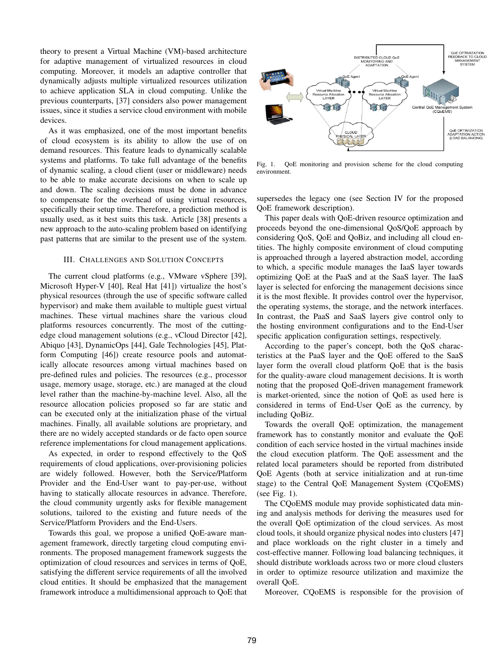theory to present a Virtual Machine (VM)-based architecture for adaptive management of virtualized resources in cloud computing. Moreover, it models an adaptive controller that dynamically adjusts multiple virtualized resources utilization to achieve application SLA in cloud computing. Unlike the previous counterparts, [37] considers also power management issues, since it studies a service cloud environment with mobile devices.

As it was emphasized, one of the most important benefits of cloud ecosystem is its ability to allow the use of on demand resources. This feature leads to dynamically scalable systems and platforms. To take full advantage of the benefits of dynamic scaling, a cloud client (user or middleware) needs to be able to make accurate decisions on when to scale up and down. The scaling decisions must be done in advance to compensate for the overhead of using virtual resources, specifically their setup time. Therefore, a prediction method is usually used, as it best suits this task. Article [38] presents a new approach to the auto-scaling problem based on identifying past patterns that are similar to the present use of the system.

#### III. CHALLENGES AND SOLUTION CONCEPTS

The current cloud platforms (e.g., VMware vSphere [39], Microsoft Hyper-V [40], Real Hat [41]) virtualize the host's physical resources (through the use of specific software called hypervisor) and make them available to multiple guest virtual machines. These virtual machines share the various cloud platforms resources concurrently. The most of the cuttingedge cloud management solutions (e.g., vCloud Director [42], Abiquo [43], DynamicOps [44], Gale Technologies [45], Platform Computing [46]) create resource pools and automatically allocate resources among virtual machines based on pre-defined rules and policies. The resources (e.g., processor usage, memory usage, storage, etc.) are managed at the cloud level rather than the machine-by-machine level. Also, all the resource allocation policies proposed so far are static and can be executed only at the initialization phase of the virtual machines. Finally, all available solutions are proprietary, and there are no widely accepted standards or de facto open source reference implementations for cloud management applications.

As expected, in order to respond effectively to the QoS requirements of cloud applications, over-provisioning policies are widely followed. However, both the Service/Platform Provider and the End-User want to pay-per-use, without having to statically allocate resources in advance. Therefore, the cloud community urgently asks for flexible management solutions, tailored to the existing and future needs of the Service/Platform Providers and the End-Users.

Towards this goal, we propose a unified QoE-aware management framework, directly targeting cloud computing environments. The proposed management framework suggests the optimization of cloud resources and services in terms of QoE, satisfying the different service requirements of all the involved cloud entities. It should be emphasized that the management framework introduce a multidimensional approach to QoE that



Fig. 1. QoE monitoring and provision scheme for the cloud computing environment.

supersedes the legacy one (see Section IV for the proposed QoE framework description).

This paper deals with QoE-driven resource optimization and proceeds beyond the one-dimensional QoS/QoE approach by considering QoS, QoE and QoBiz, and including all cloud entities. The highly composite environment of cloud computing is approached through a layered abstraction model, according to which, a specific module manages the IaaS layer towards optimizing QoE at the PaaS and at the SaaS layer. The IaaS layer is selected for enforcing the management decisions since it is the most flexible. It provides control over the hypervisor, the operating systems, the storage, and the network interfaces. In contrast, the PaaS and SaaS layers give control only to the hosting environment configurations and to the End-User specific application configuration settings, respectively.

According to the paper's concept, both the QoS characteristics at the PaaS layer and the QoE offered to the SaaS layer form the overall cloud platform QoE that is the basis for the quality-aware cloud management decisions. It is worth noting that the proposed QoE-driven management framework is market-oriented, since the notion of QoE as used here is considered in terms of End-User QoE as the currency, by including QoBiz.

Towards the overall QoE optimization, the management framework has to constantly monitor and evaluate the QoE condition of each service hosted in the virtual machines inside the cloud execution platform. The QoE assessment and the related local parameters should be reported from distributed QoE Agents (both at service initialization and at run-time stage) to the Central QoE Management System (CQoEMS) (see Fig. 1).

The CQoEMS module may provide sophisticated data mining and analysis methods for deriving the measures used for the overall QoE optimization of the cloud services. As most cloud tools, it should organize physical nodes into clusters [47] and place workloads on the right cluster in a timely and cost-effective manner. Following load balancing techniques, it should distribute workloads across two or more cloud clusters in order to optimize resource utilization and maximize the overall QoE.

Moreover, CQoEMS is responsible for the provision of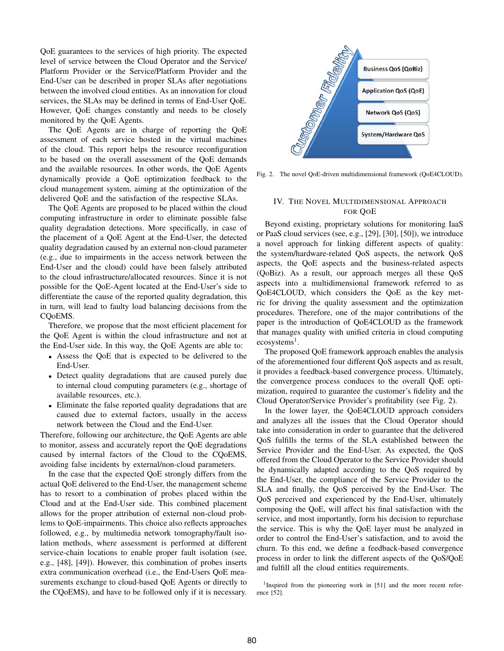QoE guarantees to the services of high priority. The expected level of service between the Cloud Operator and the Service/ Platform Provider or the Service/Platform Provider and the End-User can be described in proper SLAs after negotiations between the involved cloud entities. As an innovation for cloud services, the SLAs may be defined in terms of End-User QoE. However, QoE changes constantly and needs to be closely monitored by the QoE Agents.

The QoE Agents are in charge of reporting the QoE assessment of each service hosted in the virtual machines of the cloud. This report helps the resource reconfiguration to be based on the overall assessment of the QoE demands and the available resources. In other words, the QoE Agents dynamically provide a QoE optimization feedback to the cloud management system, aiming at the optimization of the delivered QoE and the satisfaction of the respective SLAs.

The QoE Agents are proposed to be placed within the cloud computing infrastructure in order to eliminate possible false quality degradation detections. More specifically, in case of the placement of a QoE Agent at the End-User, the detected quality degradation caused by an external non-cloud parameter (e.g., due to impairments in the access network between the End-User and the cloud) could have been falsely attributed to the cloud infrastructure/allocated resources. Since it is not possible for the QoE-Agent located at the End-User's side to differentiate the cause of the reported quality degradation, this in turn, will lead to faulty load balancing decisions from the CQoEMS.

Therefore, we propose that the most efficient placement for the QoE Agent is within the cloud infrastructure and not at the End-User side. In this way, the QoE Agents are able to:

- Assess the QoE that is expected to be delivered to the End-User.
- Detect quality degradations that are caused purely due to internal cloud computing parameters (e.g., shortage of available resources, etc.).
- Eliminate the false reported quality degradations that are caused due to external factors, usually in the access network between the Cloud and the End-User.

Therefore, following our architecture, the QoE Agents are able to monitor, assess and accurately report the QoE degradations caused by internal factors of the Cloud to the CQoEMS, avoiding false incidents by external/non-cloud parameters.

In the case that the expected QoE strongly differs from the actual QoE delivered to the End-User, the management scheme has to resort to a combination of probes placed within the Cloud and at the End-User side. This combined placement allows for the proper attribution of external non-cloud problems to QoE-impairments. This choice also reflects approaches followed, e.g., by multimedia network tomography/fault isolation methods, where assessment is performed at different service-chain locations to enable proper fault isolation (see, e.g., [48], [49]). However, this combination of probes inserts extra communication overhead (i.e., the End-Users QoE measurements exchange to cloud-based QoE Agents or directly to the CQoEMS), and have to be followed only if it is necessary.



Fig. 2. The novel QoE-driven multidimensional framework (QoE4CLOUD).

## IV. THE NOVEL MULTIDIMENSIONAL APPROACH FOR QOE

Beyond existing, proprietary solutions for monitoring IaaS or PaaS cloud services (see, e.g., [29], [30], [50]), we introduce a novel approach for linking different aspects of quality: the system/hardware-related QoS aspects, the network QoS aspects, the QoE aspects and the business-related aspects (QoBiz). As a result, our approach merges all these QoS aspects into a multidimensional framework referred to as QoE4CLOUD, which considers the QoE as the key metric for driving the quality assessment and the optimization procedures. Therefore, one of the major contributions of the paper is the introduction of QoE4CLOUD as the framework that manages quality with unified criteria in cloud computing ecosystems<sup>1</sup>.

The proposed QoE framework approach enables the analysis of the aforementioned four different QoS aspects and as result, it provides a feedback-based convergence process. Ultimately, the convergence process conduces to the overall QoE optimization, required to guarantee the customer's fidelity and the Cloud Operator/Service Provider's profitability (see Fig. 2).

In the lower layer, the QoE4CLOUD approach considers and analyzes all the issues that the Cloud Operator should take into consideration in order to guarantee that the delivered QoS fulfills the terms of the SLA established between the Service Provider and the End-User. As expected, the QoS offered from the Cloud Operator to the Service Provider should be dynamically adapted according to the QoS required by the End-User, the compliance of the Service Provider to the SLA and finally, the QoS perceived by the End-User. The QoS perceived and experienced by the End-User, ultimately composing the QoE, will affect his final satisfaction with the service, and most importantly, form his decision to repurchase the service. This is why the QoE layer must be analyzed in order to control the End-User's satisfaction, and to avoid the churn. To this end, we define a feedback-based convergence process in order to link the different aspects of the QoS/QoE and fulfill all the cloud entities requirements.

<sup>1</sup>Inspired from the pioneering work in [51] and the more recent reference [52].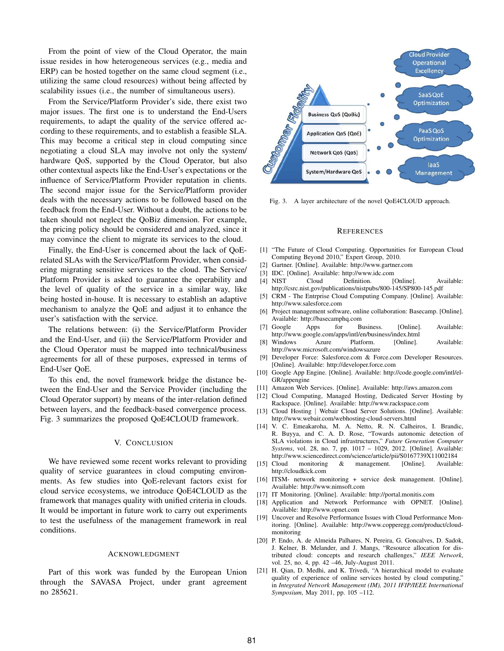From the point of view of the Cloud Operator, the main issue resides in how heterogeneous services (e.g., media and ERP) can be hosted together on the same cloud segment (i.e., utilizing the same cloud resources) without being affected by scalability issues (i.e., the number of simultaneous users).

From the Service/Platform Provider's side, there exist two major issues. The first one is to understand the End-Users requirements, to adapt the quality of the service offered according to these requirements, and to establish a feasible SLA. This may become a critical step in cloud computing since negotiating a cloud SLA may involve not only the system/ hardware QoS, supported by the Cloud Operator, but also other contextual aspects like the End-User's expectations or the influence of Service/Platform Provider reputation in clients. The second major issue for the Service/Platform provider deals with the necessary actions to be followed based on the feedback from the End-User. Without a doubt, the actions to be taken should not neglect the QoBiz dimension. For example, the pricing policy should be considered and analyzed, since it may convince the client to migrate its services to the cloud.

Finally, the End-User is concerned about the lack of QoErelated SLAs with the Service/Platform Provider, when considering migrating sensitive services to the cloud. The Service/ Platform Provider is asked to guarantee the operability and the level of quality of the service in a similar way, like being hosted in-house. It is necessary to establish an adaptive mechanism to analyze the QoE and adjust it to enhance the user's satisfaction with the service.

The relations between: (i) the Service/Platform Provider and the End-User, and (ii) the Service/Platform Provider and the Cloud Operator must be mapped into technical/business agreements for all of these purposes, expressed in terms of End-User QoE.

To this end, the novel framework bridge the distance between the End-User and the Service Provider (including the Cloud Operator support) by means of the inter-relation defined between layers, and the feedback-based convergence process. Fig. 3 summarizes the proposed QoE4CLOUD framework.

## V. CONCLUSION

We have reviewed some recent works relevant to providing quality of service guarantees in cloud computing environments. As few studies into QoE-relevant factors exist for cloud service ecosystems, we introduce QoE4CLOUD as the framework that manages quality with unified criteria in clouds. It would be important in future work to carry out experiments to test the usefulness of the management framework in real conditions.

#### ACKNOWLEDGMENT

Part of this work was funded by the European Union through the SAVASA Project, under grant agreement no 285621.



Fig. 3. A layer architecture of the novel QoE4CLOUD approach.

#### **REFERENCES**

- [1] "The Future of Cloud Computing. Opportunities for European Cloud Computing Beyond 2010," Expert Group, 2010.
- [2] Gartner. [Online]. Available: http://www.gartner.com
- [3] IDC. [Online]. Available: http://www.idc.com
- [4] NIST Cloud Definition. [Online]. Available: http://csrc.nist.gov/publications/nistpubs/800-145/SP800-145.pdf
- [5] CRM The Entrprise Cloud Computing Company. [Online]. Available: http://www.salesforce.com
- [6] Project management software, online collaboration: Basecamp. [Online]. Available: http://basecamphq.com
- [7] Google Apps for Business. [Online]. Available: http://www.google.com/apps/intl/en/business/index.html
- [8] Windows Azure Platform. [Online]. Available: http://www.microsoft.com/windowsazure
- [9] Developer Force: Salesforce.com & Force.com Developer Resources. [Online]. Available: http://developer.force.com
- [10] Google App Engine. [Online]. Available: http://code.google.com/intl/el-GR/appengine
- [11] Amazon Web Services. [Online]. Available: http://aws.amazon.com
- [12] Cloud Computing, Managed Hosting, Dedicated Server Hosting by Rackspace. [Online]. Available: http://www.rackspace.com
- [13] Cloud Hosting | Webair Cloud Server Solutions. [Online]. Available: http://www.webair.com/webhosting-cloud-servers.html
- [14] V. C. Emeakaroha, M. A. Netto, R. N. Calheiros, I. Brandic, R. Buyya, and C. A. D. Rose, "Towards autonomic detection of SLA violations in Cloud infrastructures," *Future Generation Computer Systems*, vol. 28, no. 7, pp. 1017 – 1029, 2012. [Online]. Available: http://www.sciencedirect.com/science/article/pii/S0167739X11002184
- [15] Cloud monitoring & management. [Online]. Available: http://cloudkick.com
- [16] ITSM- network monitoring + service desk management. [Online]. Available: http://www.nimsoft.com
- [17] IT Monitoring. [Online]. Available: http://portal.monitis.com
- [18] Application and Network Performance with OPNET. [Online]. Available: http://www.opnet.com
- [19] Uncover and Resolve Performance Issues with Cloud Performance Monitoring. [Online]. Available: http://www.copperegg.com/product/cloudmonitoring
- [20] P. Endo, A. de Almeida Palhares, N. Pereira, G. Goncalves, D. Sadok, J. Kelner, B. Melander, and J. Mangs, "Resource allocation for distributed cloud: concepts and research challenges," *IEEE Network*, vol. 25, no. 4, pp. 42 –46, July-August 2011.
- [21] H. Qian, D. Medhi, and K. Trivedi, "A hierarchical model to evaluate quality of experience of online services hosted by cloud computing," in *Integrated Network Management (IM), 2011 IFIP/IEEE International Symposium*, May 2011, pp. 105 –112.